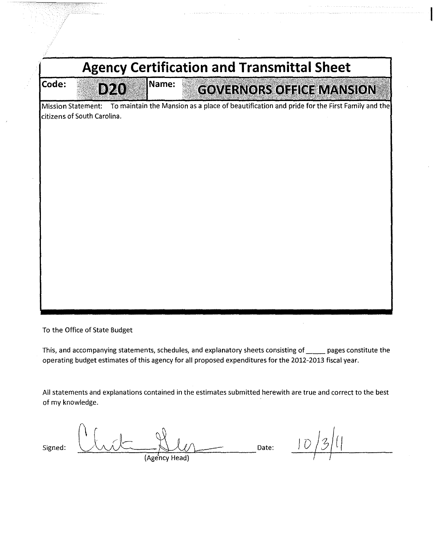| <b>Agency Certification and Transmittal Sheet</b> |                             |       |                                                                                             |  |  |  |  |  |
|---------------------------------------------------|-----------------------------|-------|---------------------------------------------------------------------------------------------|--|--|--|--|--|
| Code:                                             | D20                         | Name: | GOVERNORS OFFICE MANSION                                                                    |  |  |  |  |  |
| <b>Mission Statement:</b>                         | citizens of South Carolina. |       | To maintain the Mansion as a place of beautification and pride for the First Family and the |  |  |  |  |  |
|                                                   |                             |       |                                                                                             |  |  |  |  |  |
|                                                   |                             |       |                                                                                             |  |  |  |  |  |
|                                                   |                             |       |                                                                                             |  |  |  |  |  |

To the Office of State Budget

This, and accompanying statements, schedules, and explanatory sheets consisting of \_\_\_\_\_ pages constitute the operating budget estimates of this agency for all proposed expenditures for the 2012-2013 fiscal year.

All statements and explanations contained in the estimates submitted herewith are true and correct to the best of my knowledge.

 ${\sf Signed:}\quad \begin{picture}(120,111){\line(1,0){11}} \put(15,111){\line(1,0){11}} \put(15,111){\line(1,0){11}} \put(15,111){\line(1,0){11}} \put(15,111){\line(1,0){11}} \put(15,111){\line(1,0){11}} \put(15,111){\line(1,0){11}} \put(15,111){\line(1,0){11}} \put(15,111){\line(1,0){11}} \put(15,111){\line(1,0){11}} \put(15,111){$  $(Agency Head)$   $(Agency Head)$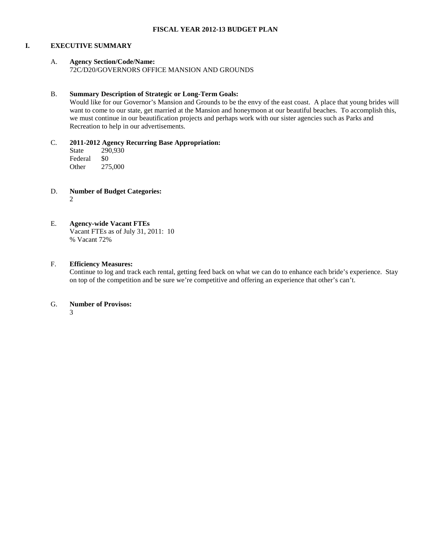#### **I. EXECUTIVE SUMMARY**

# A. **Agency Section/Code/Name:**

72C/D20/GOVERNORS OFFICE MANSION AND GROUNDS

# B. **Summary Description of Strategic or Long-Term Goals:**

Would like for our Governor's Mansion and Grounds to be the envy of the east coast. A place that young brides will want to come to our state, get married at the Mansion and honeymoon at our beautiful beaches. To accomplish this, we must continue in our beautification projects and perhaps work with our sister agencies such as Parks and Recreation to help in our advertisements.

# C. **2011-2012 Agency Recurring Base Appropriation:**

State 290,930<br>Federal \$0 **Federal** Other 275,000

D. **Number of Budget Categories:** 2

# E. **Agency-wide Vacant FTEs**

Vacant FTEs as of July 31, 2011: 10 % Vacant 72%

# F. **Efficiency Measures:**

Continue to log and track each rental, getting feed back on what we can do to enhance each bride's experience. Stay on top of the competition and be sure we're competitive and offering an experience that other's can't.

# G. **Number of Provisos:**

3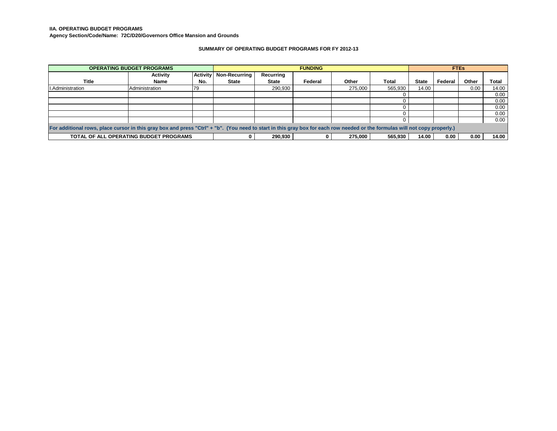**IIA. OPERATING BUDGET PROGRAMS**

**Agency Section/Code/Name: 72C/D20/Governors Office Mansion and Grounds**

#### **SUMMARY OF OPERATING BUDGET PROGRAMS FOR FY 2012-13**

|                                                                                                                                                                             | <b>OPERATING BUDGET PROGRAMS</b>       |                 |                      |              | <b>FUNDING</b> |         |         |              |         | <b>FTEs</b> |       |
|-----------------------------------------------------------------------------------------------------------------------------------------------------------------------------|----------------------------------------|-----------------|----------------------|--------------|----------------|---------|---------|--------------|---------|-------------|-------|
|                                                                                                                                                                             | Activity                               | <b>Activity</b> | <b>Non-Recurring</b> | Recurring    |                |         |         |              |         |             |       |
| <b>Title</b>                                                                                                                                                                | <b>Name</b>                            | No.             | <b>State</b>         | <b>State</b> | Federal        | Other   | Total   | <b>State</b> | Federal | Other       | Total |
| <b>I.Administration</b>                                                                                                                                                     | Administration                         | 79              |                      | 290,930      |                | 275.000 | 565,930 | 14.00        |         | 0.00        | 14.00 |
|                                                                                                                                                                             |                                        |                 |                      |              |                |         |         |              |         |             | 0.00  |
|                                                                                                                                                                             |                                        |                 |                      |              |                |         |         |              |         |             | 0.00  |
|                                                                                                                                                                             |                                        |                 |                      |              |                |         |         |              |         |             | 0.00  |
|                                                                                                                                                                             |                                        |                 |                      |              |                |         |         |              |         |             | 0.00  |
|                                                                                                                                                                             |                                        |                 |                      |              |                |         |         |              |         |             | 0.00  |
| For additional rows, place cursor in this gray box and press "Ctrl" + "b". (You need to start in this gray box for each row needed or the formulas will not copy properly.) |                                        |                 |                      |              |                |         |         |              |         |             |       |
|                                                                                                                                                                             | TOTAL OF ALL OPERATING BUDGET PROGRAMS |                 |                      | 290.930      |                | 275.000 | 565.930 | 14.00        | 0.00    | 0.00        | 14.00 |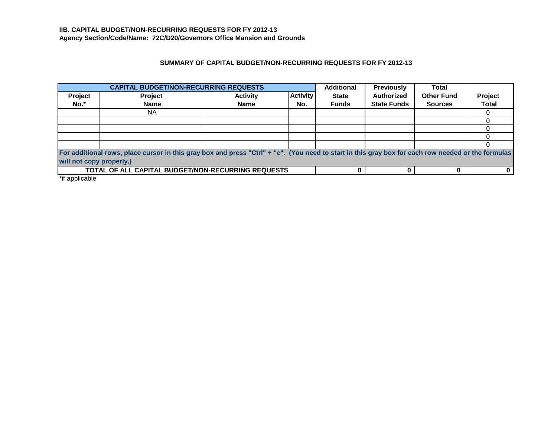# **SUMMARY OF CAPITAL BUDGET/NON-RECURRING REQUESTS FOR FY 2012-13**

|                          | <b>CAPITAL BUDGET/NON-RECURRING REQUESTS</b>                                                                                                       |                 |                 | <b>Additional</b> | <b>Previously</b>  | <b>Total</b>      |              |
|--------------------------|----------------------------------------------------------------------------------------------------------------------------------------------------|-----------------|-----------------|-------------------|--------------------|-------------------|--------------|
| Project                  | Project                                                                                                                                            | <b>Activity</b> | <b>Activity</b> | <b>State</b>      | <b>Authorized</b>  | <b>Other Fund</b> | Project      |
| No.*                     | <b>Name</b>                                                                                                                                        | <b>Name</b>     | No.             | <b>Funds</b>      | <b>State Funds</b> | <b>Sources</b>    | <b>Total</b> |
|                          | ΝA                                                                                                                                                 |                 |                 |                   |                    |                   |              |
|                          |                                                                                                                                                    |                 |                 |                   |                    |                   |              |
|                          |                                                                                                                                                    |                 |                 |                   |                    |                   |              |
|                          |                                                                                                                                                    |                 |                 |                   |                    |                   |              |
|                          |                                                                                                                                                    |                 |                 |                   |                    |                   |              |
|                          | For additional rows, place cursor in this gray box and press "Ctrl" + "c". (You need to start in this gray box for each row needed or the formulas |                 |                 |                   |                    |                   |              |
| will not copy properly.) |                                                                                                                                                    |                 |                 |                   |                    |                   |              |
|                          | <b>TOTAL OF ALL CAPITAL BUDGET/NON-RECURRING REQUESTS</b>                                                                                          |                 |                 |                   |                    |                   |              |

\*if applicable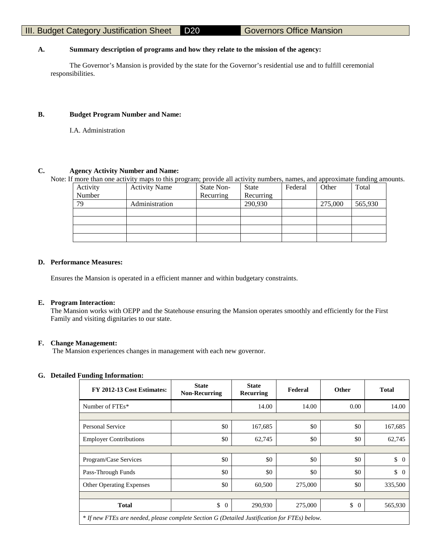# **A. Summary description of programs and how they relate to the mission of the agency:**

The Governor's Mansion is provided by the state for the Governor's residential use and to fulfill ceremonial responsibilities.

#### **B. Budget Program Number and Name:**

I.A. Administration

#### **C. Agency Activity Number and Name:**

Note: If more than one activity maps to this program; provide all activity numbers, names, and approximate funding amounts.

| Activity | <b>Activity Name</b> | State Non- | State     | Federal | Other   | Total   |
|----------|----------------------|------------|-----------|---------|---------|---------|
| Number   |                      | Recurring  | Recurring |         |         |         |
| 79       | Administration       |            | 290,930   |         | 275,000 | 565,930 |
|          |                      |            |           |         |         |         |
|          |                      |            |           |         |         |         |
|          |                      |            |           |         |         |         |
|          |                      |            |           |         |         |         |

#### **D. Performance Measures:**

Ensures the Mansion is operated in a efficient manner and within budgetary constraints.

#### **E. Program Interaction:**

The Mansion works with OEPP and the Statehouse ensuring the Mansion operates smoothly and efficiently for the First Family and visiting dignitaries to our state.

#### **F. Change Management:**

The Mansion experiences changes in management with each new governor.

# **G. Detailed Funding Information:**

| FY 2012-13 Cost Estimates:                                                                   | <b>State</b><br><b>Non-Recurring</b> | <b>State</b><br>Recurring | Federal | <b>Other</b>         | <b>Total</b>     |
|----------------------------------------------------------------------------------------------|--------------------------------------|---------------------------|---------|----------------------|------------------|
| Number of FTEs*                                                                              |                                      | 14.00                     | 14.00   | 0.00                 | 14.00            |
|                                                                                              |                                      |                           |         |                      |                  |
| <b>Personal Service</b>                                                                      | \$0                                  | 167,685                   | \$0     | \$0                  | 167,685          |
| <b>Employer Contributions</b>                                                                | \$0                                  | 62,745                    | \$0     | \$0                  | 62,745           |
|                                                                                              |                                      |                           |         |                      |                  |
| Program/Case Services                                                                        | \$0                                  | \$0                       | \$0     | \$0                  | $\updownarrow$ 0 |
| Pass-Through Funds                                                                           | \$0                                  | \$0                       | \$0     | \$0                  | \$<br>$\Omega$   |
| <b>Other Operating Expenses</b>                                                              | \$0                                  | 60,500                    | 275,000 | \$0                  | 335,500          |
|                                                                                              |                                      |                           |         |                      |                  |
| <b>Total</b>                                                                                 | \$<br>$\overline{0}$                 | 290,930                   | 275,000 | \$<br>$\overline{0}$ | 565,930          |
| * If new FTEs are needed, please complete Section G (Detailed Justification for FTEs) below. |                                      |                           |         |                      |                  |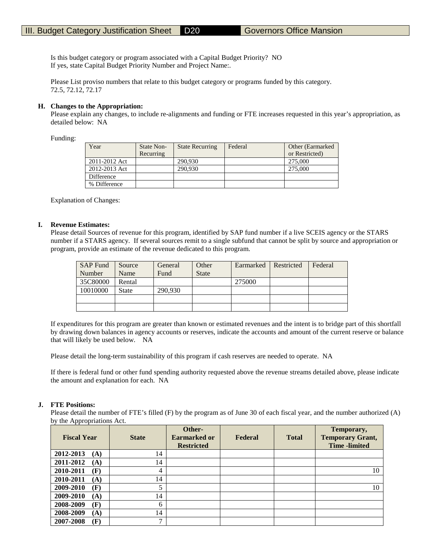Is this budget category or program associated with a Capital Budget Priority? NO If yes, state Capital Budget Priority Number and Project Name:.

Please List proviso numbers that relate to this budget category or programs funded by this category. 72.5, 72.12, 72.17

#### **H. Changes to the Appropriation:**

Please explain any changes, to include re-alignments and funding or FTE increases requested in this year's appropriation, as detailed below: NA

Funding:

| Year          | State Non- | <b>State Recurring</b> | Federal | Other (Earmarked) |
|---------------|------------|------------------------|---------|-------------------|
|               | Recurring  |                        |         | or Restricted)    |
| 2011-2012 Act |            | 290,930                |         | 275,000           |
| 2012-2013 Act |            | 290,930                |         | 275,000           |
| Difference    |            |                        |         |                   |
| % Difference  |            |                        |         |                   |

Explanation of Changes:

#### **I. Revenue Estimates:**

Please detail Sources of revenue for this program, identified by SAP fund number if a live SCEIS agency or the STARS number if a STARS agency. If several sources remit to a single subfund that cannot be split by source and appropriation or program, provide an estimate of the revenue dedicated to this program.

| <b>SAP Fund</b> | Source       | General | Other        | Earmarked | Restricted | Federal |
|-----------------|--------------|---------|--------------|-----------|------------|---------|
| Number          | Name         | Fund    | <b>State</b> |           |            |         |
| 35C80000        | Rental       |         |              | 275000    |            |         |
| 10010000        | <b>State</b> | 290.930 |              |           |            |         |
|                 |              |         |              |           |            |         |
|                 |              |         |              |           |            |         |

If expenditures for this program are greater than known or estimated revenues and the intent is to bridge part of this shortfall by drawing down balances in agency accounts or reserves, indicate the accounts and amount of the current reserve or balance that will likely be used below. NA

Please detail the long-term sustainability of this program if cash reserves are needed to operate. NA

If there is federal fund or other fund spending authority requested above the revenue streams detailed above, please indicate the amount and explanation for each. NA

#### **J. FTE Positions:**

Please detail the number of FTE's filled (F) by the program as of June 30 of each fiscal year, and the number authorized (A) by the Appropriations Act.

| <b>Fiscal Year</b> | <b>State</b> | Other-<br><b>Earmarked or</b><br><b>Restricted</b> | Federal | <b>Total</b> | Temporary,<br><b>Temporary Grant,</b><br><b>Time</b> -limited |
|--------------------|--------------|----------------------------------------------------|---------|--------------|---------------------------------------------------------------|
| 2012-2013<br>(A)   | 14           |                                                    |         |              |                                                               |
| 2011-2012<br>(A)   | 14           |                                                    |         |              |                                                               |
| 2010-2011<br>(F)   | 4            |                                                    |         |              | 10                                                            |
| 2010-2011<br>(A)   | 14           |                                                    |         |              |                                                               |
| 2009-2010<br>(F)   | 5            |                                                    |         |              | 10                                                            |
| 2009-2010<br>(A)   | 14           |                                                    |         |              |                                                               |
| 2008-2009<br>(F)   | 6            |                                                    |         |              |                                                               |
| 2008-2009<br>(A)   | 14           |                                                    |         |              |                                                               |
| 2007-2008<br>(F)   | ⇁            |                                                    |         |              |                                                               |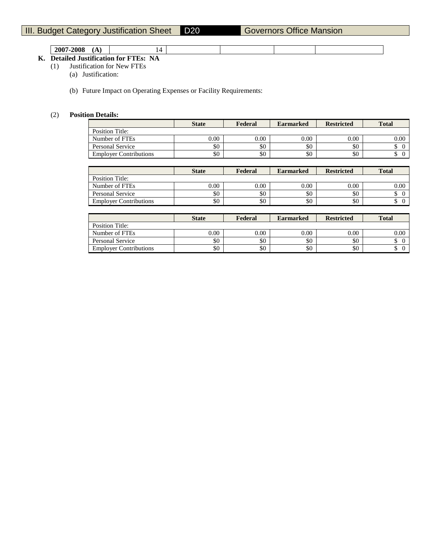| 2007<br>$-200$ <sub>b</sub><br>---<br>.<br> | - |  |  |
|---------------------------------------------|---|--|--|
|                                             |   |  |  |

# **K. Detailed Justification for FTEs: NA**

(1) Justification for New FTEs

(a) Justification:

(b) Future Impact on Operating Expenses or Facility Requirements:

# (2) **Position Details:**

| <b>State</b> | Federal | <b>Earmarked</b> | <b>Restricted</b> | <b>Total</b> |
|--------------|---------|------------------|-------------------|--------------|
|              |         |                  |                   |              |
| $0.00\,$     | 0.00    | $0.00\,$         | 0.00              | $0.00\,$     |
| \$0          | \$0     | \$0              | \$0               |              |
| \$0          | \$0     | \$0              | \$0               |              |
|              |         |                  |                   |              |

|                               | <b>State</b> | Federal | <b>Earmarked</b> | <b>Restricted</b> | <b>Total</b> |
|-------------------------------|--------------|---------|------------------|-------------------|--------------|
| Position Title:               |              |         |                  |                   |              |
| Number of FTEs                | $0.00\,$     | 0.00    | 0.00             | 0.00              | 0.00         |
| Personal Service              | \$0          | \$0     | \$0              | \$0               |              |
| <b>Employer Contributions</b> | \$0          | \$0     | \$0              | \$0               |              |

|                               | <b>State</b> | Federal  | <b>Earmarked</b> | <b>Restricted</b> | <b>Total</b> |
|-------------------------------|--------------|----------|------------------|-------------------|--------------|
| Position Title:               |              |          |                  |                   |              |
| Number of FTEs                | 0.00         | $0.00\,$ | 0.00             | 0.00              | 0.00         |
| Personal Service              | \$0          | \$0      | \$0              | \$0               |              |
| <b>Employer Contributions</b> | \$0          | \$0      | \$0              | \$0               |              |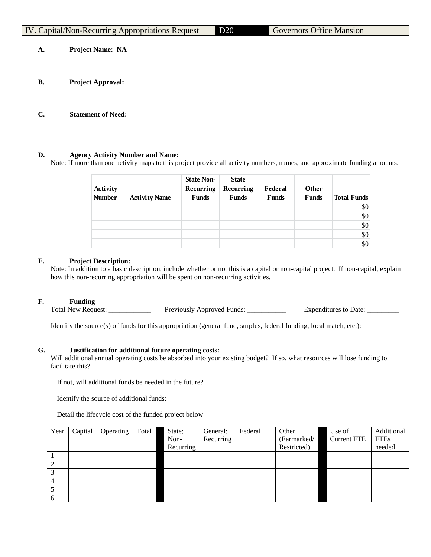| V. Capital/Non-Recurring Appropriations Request |  |  |
|-------------------------------------------------|--|--|
|                                                 |  |  |

20 Governors Office Mansion

**A. Project Name: NA**

- **B. Project Approval:**
- **C. Statement of Need:**

# **D. Agency Activity Number and Name:**

Note: If more than one activity maps to this project provide all activity numbers, names, and approximate funding amounts.

|               |                      | <b>State Non-</b> | <b>State</b> |              |              |                    |
|---------------|----------------------|-------------------|--------------|--------------|--------------|--------------------|
| Activity      |                      | Recurring         | Recurring    | Federal      | Other        |                    |
| <b>Number</b> | <b>Activity Name</b> | <b>Funds</b>      | <b>Funds</b> | <b>Funds</b> | <b>Funds</b> | <b>Total Funds</b> |
|               |                      |                   |              |              |              | \$0                |
|               |                      |                   |              |              |              | \$0                |
|               |                      |                   |              |              |              | \$0                |
|               |                      |                   |              |              |              | \$0                |
|               |                      |                   |              |              |              | \$0                |

# **E. Project Description:**

Note: In addition to a basic description, include whether or not this is a capital or non-capital project. If non-capital, explain how this non-recurring appropriation will be spent on non-recurring activities.

# **F. Funding**

Total New Request: \_\_\_\_\_\_\_\_\_\_\_\_\_\_\_ Previously Approved Funds: \_\_\_\_\_\_\_\_\_\_\_\_ Expenditures to Date: \_\_\_\_\_\_\_

Identify the source(s) of funds for this appropriation (general fund, surplus, federal funding, local match, etc.):

# **G. Justification for additional future operating costs:**

Will additional annual operating costs be absorbed into your existing budget? If so, what resources will lose funding to facilitate this?

If not, will additional funds be needed in the future?

Identify the source of additional funds:

Detail the lifecycle cost of the funded project below

| Year | Capital | Operating | Total | State;    | General:  | Federal | Other       | Use of             | Additional  |
|------|---------|-----------|-------|-----------|-----------|---------|-------------|--------------------|-------------|
|      |         |           |       | Non-      | Recurring |         | (Earmarked/ | <b>Current FTE</b> | <b>FTEs</b> |
|      |         |           |       | Recurring |           |         | Restricted) |                    | needed      |
|      |         |           |       |           |           |         |             |                    |             |
|      |         |           |       |           |           |         |             |                    |             |
|      |         |           |       |           |           |         |             |                    |             |
|      |         |           |       |           |           |         |             |                    |             |
|      |         |           |       |           |           |         |             |                    |             |
| $6+$ |         |           |       |           |           |         |             |                    |             |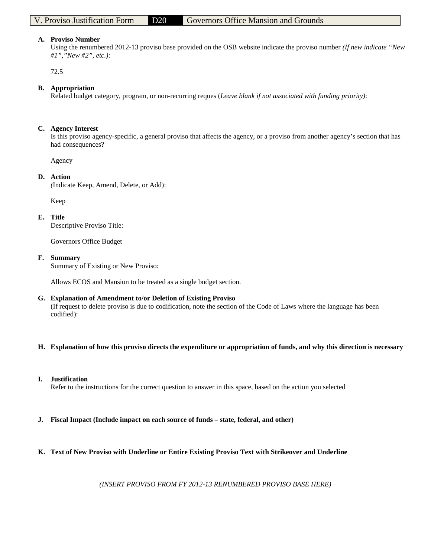#### **A. Proviso Number**

Using the renumbered 2012-13 proviso base provided on the OSB website indicate the proviso number *(If new indicate "New #1","New #2", etc.)*:

72.5

# **B. Appropriation**

Related budget category, program, or non-recurring reques (*Leave blank if not associated with funding priority)*:

#### **C. Agency Interest**

Is this proviso agency-specific, a general proviso that affects the agency, or a proviso from another agency's section that has had consequences?

Agency

#### **D. Action**

*(*Indicate Keep, Amend, Delete, or Add):

Keep

#### **E. Title**

Descriptive Proviso Title:

Governors Office Budget

#### **F. Summary**

Summary of Existing or New Proviso:

Allows ECOS and Mansion to be treated as a single budget section.

# **G. Explanation of Amendment to/or Deletion of Existing Proviso**

(If request to delete proviso is due to codification, note the section of the Code of Laws where the language has been codified):

**H. Explanation of how this proviso directs the expenditure or appropriation of funds, and why this direction is necessary**

# **I. Justification**

Refer to the instructions for the correct question to answer in this space, based on the action you selected

**J. Fiscal Impact (Include impact on each source of funds – state, federal, and other)**

# **K. Text of New Proviso with Underline or Entire Existing Proviso Text with Strikeover and Underline**

*(INSERT PROVISO FROM FY 2012-13 RENUMBERED PROVISO BASE HERE)*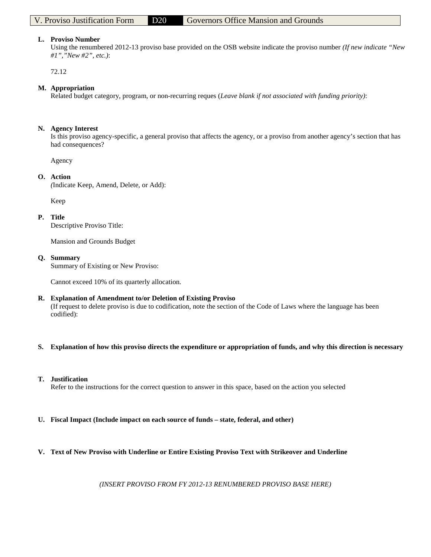#### **L. Proviso Number**

Using the renumbered 2012-13 proviso base provided on the OSB website indicate the proviso number *(If new indicate "New #1","New #2", etc.)*:

72.12

#### **M. Appropriation**

Related budget category, program, or non-recurring reques (*Leave blank if not associated with funding priority)*:

#### **N. Agency Interest**

Is this proviso agency-specific, a general proviso that affects the agency, or a proviso from another agency's section that has had consequences?

Agency

#### **O. Action**

*(*Indicate Keep, Amend, Delete, or Add):

Keep

#### **P. Title**

Descriptive Proviso Title:

Mansion and Grounds Budget

#### **Q. Summary**

Summary of Existing or New Proviso:

Cannot exceed 10% of its quarterly allocation.

# **R. Explanation of Amendment to/or Deletion of Existing Proviso**

(If request to delete proviso is due to codification, note the section of the Code of Laws where the language has been codified):

**S. Explanation of how this proviso directs the expenditure or appropriation of funds, and why this direction is necessary**

# **T. Justification**

Refer to the instructions for the correct question to answer in this space, based on the action you selected

**U. Fiscal Impact (Include impact on each source of funds – state, federal, and other)**

# **V. Text of New Proviso with Underline or Entire Existing Proviso Text with Strikeover and Underline**

*(INSERT PROVISO FROM FY 2012-13 RENUMBERED PROVISO BASE HERE)*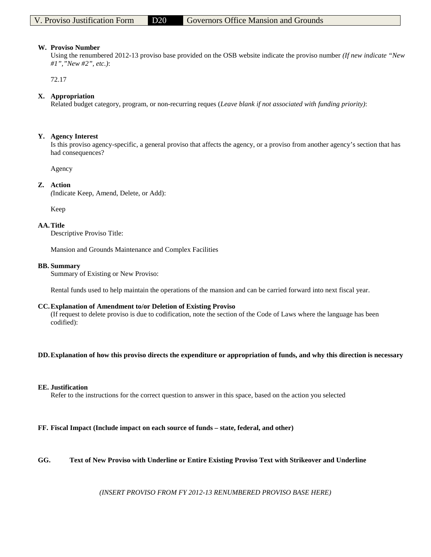#### **W. Proviso Number**

Using the renumbered 2012-13 proviso base provided on the OSB website indicate the proviso number *(If new indicate "New #1","New #2", etc.)*:

72.17

# **X. Appropriation**

Related budget category, program, or non-recurring reques (*Leave blank if not associated with funding priority)*:

## **Y. Agency Interest**

Is this proviso agency-specific, a general proviso that affects the agency, or a proviso from another agency's section that has had consequences?

Agency

# **Z. Action**

*(*Indicate Keep, Amend, Delete, or Add):

Keep

#### **AA.Title**

Descriptive Proviso Title:

Mansion and Grounds Maintenance and Complex Facilities

#### **BB. Summary**

Summary of Existing or New Proviso:

Rental funds used to help maintain the operations of the mansion and can be carried forward into next fiscal year.

#### **CC.Explanation of Amendment to/or Deletion of Existing Proviso**

(If request to delete proviso is due to codification, note the section of the Code of Laws where the language has been codified):

#### **DD.Explanation of how this proviso directs the expenditure or appropriation of funds, and why this direction is necessary**

#### **EE. Justification**

Refer to the instructions for the correct question to answer in this space, based on the action you selected

# **FF. Fiscal Impact (Include impact on each source of funds – state, federal, and other)**

# **GG. Text of New Proviso with Underline or Entire Existing Proviso Text with Strikeover and Underline**

*(INSERT PROVISO FROM FY 2012-13 RENUMBERED PROVISO BASE HERE)*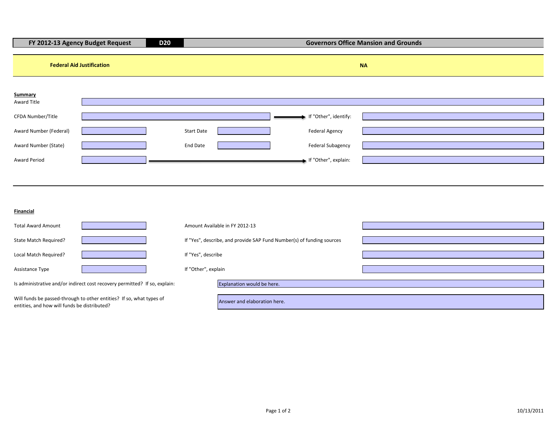| <b>D20</b><br>FY 2012-13 Agency Budget Request                                                                       |                               | <b>Governors Office Mansion and Grounds</b>                                                        |           |  |  |
|----------------------------------------------------------------------------------------------------------------------|-------------------------------|----------------------------------------------------------------------------------------------------|-----------|--|--|
| <b>Federal Aid Justification</b>                                                                                     |                               |                                                                                                    | <b>NA</b> |  |  |
| Summary<br>Award Title<br>CFDA Number/Title<br>Award Number (Federal)<br>Award Number (State)<br>Award Period        | <b>Start Date</b><br>End Date | If "Other", identify:<br><b>Federal Agency</b><br><b>Federal Subagency</b><br>If "Other", explain: |           |  |  |
| <b>Financial</b>                                                                                                     |                               |                                                                                                    |           |  |  |
| <b>Total Award Amount</b>                                                                                            |                               | Amount Available in FY 2012-13                                                                     |           |  |  |
| State Match Required?                                                                                                |                               | If "Yes", describe, and provide SAP Fund Number(s) of funding sources                              |           |  |  |
| Local Match Required?                                                                                                | If "Yes", describe            |                                                                                                    |           |  |  |
| Assistance Type                                                                                                      | If "Other", explain           |                                                                                                    |           |  |  |
| Is administrative and/or indirect cost recovery permitted? If so, explain:                                           |                               | Explanation would be here.                                                                         |           |  |  |
| Will funds be passed-through to other entities? If so, what types of<br>entities, and how will funds be distributed? |                               | Answer and elaboration here.                                                                       |           |  |  |